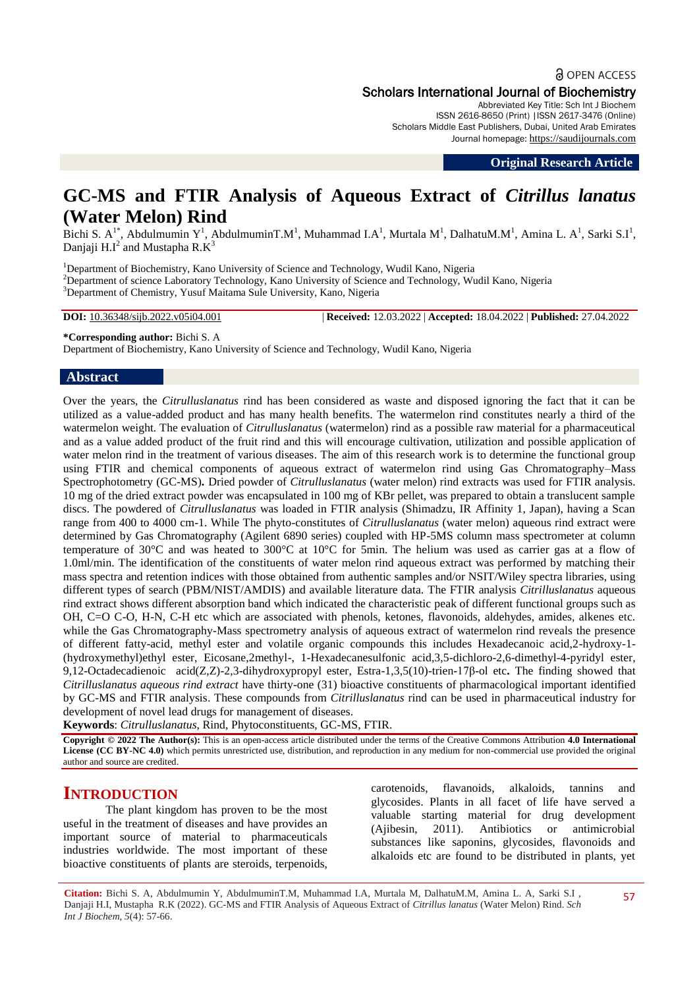# **a** OPEN ACCESS Scholars International Journal of Biochemistry

Abbreviated Key Title: Sch Int J Biochem ISSN 2616-8650 (Print) |ISSN 2617-3476 (Online) Scholars Middle East Publishers, Dubai, United Arab Emirates Journal homepage: [https://saudijournals.com](https://saudijournals.com/sijb)

**Original Research Article**

# **GC-MS and FTIR Analysis of Aqueous Extract of** *Citrillus lanatus* **(Water Melon) Rind**

Bichi S. A<sup>1\*</sup>, Abdulmumin Y<sup>1</sup>, AbdulmuminT.M<sup>1</sup>, Muhammad I.A<sup>1</sup>, Murtala M<sup>1</sup>, DalhatuM.M<sup>1</sup>, Amina L. A<sup>1</sup>, Sarki S.I<sup>1</sup>, Danjaji H.I<sup>2</sup> and Mustapha R.K<sup>3</sup>

<sup>1</sup>Department of Biochemistry, Kano University of Science and Technology, Wudil Kano, Nigeria <sup>2</sup>Department of science Laboratory Technology, Kano University of Science and Technology, Wudil Kano, Nigeria <sup>3</sup>Department of Chemistry, Yusuf Maitama Sule University, Kano, Nigeria

**DOI:** 10.36348/sijb.2022.v05i04.001 | **Received:** 12.03.2022 | **Accepted:** 18.04.2022 | **Published:** 27.04.2022

**\*Corresponding author:** Bichi S. A

Department of Biochemistry, Kano University of Science and Technology, Wudil Kano, Nigeria

### **Abstract**

Over the years, the *Citrulluslanatus* rind has been considered as waste and disposed ignoring the fact that it can be utilized as a value-added product and has many health benefits. The watermelon rind constitutes nearly a third of the watermelon weight. The evaluation of *Citrulluslanatus* (watermelon) rind as a possible raw material for a pharmaceutical and as a value added product of the fruit rind and this will encourage cultivation, utilization and possible application of water melon rind in the treatment of various diseases. The aim of this research work is to determine the functional group using FTIR and chemical components of aqueous extract of watermelon rind using Gas Chromatography–Mass Spectrophotometry (GC-MS)**.** Dried powder of *Citrulluslanatus* (water melon) rind extracts was used for FTIR analysis. 10 mg of the dried extract powder was encapsulated in 100 mg of KBr pellet, was prepared to obtain a translucent sample discs. The powdered of *Citrulluslanatus* was loaded in FTIR analysis (Shimadzu, IR Affinity 1, Japan), having a Scan range from 400 to 4000 cm-1. While The phyto-constitutes of *Citrulluslanatus* (water melon) aqueous rind extract were determined by Gas Chromatography (Agilent 6890 series) coupled with HP-5MS column mass spectrometer at column temperature of 30°C and was heated to 300°C at 10°C for 5min. The helium was used as carrier gas at a flow of 1.0ml/min. The identification of the constituents of water melon rind aqueous extract was performed by matching their mass spectra and retention indices with those obtained from authentic samples and/or NSIT/Wiley spectra libraries, using different types of search (PBM/NIST/AMDIS) and available literature data. The FTIR analysis *Citrilluslanatus* aqueous rind extract shows different absorption band which indicated the characteristic peak of different functional groups such as OH, C=O C-O, H-N, C-H etc which are associated with phenols, ketones, flavonoids, aldehydes, amides, alkenes etc. while the Gas Chromatography-Mass spectrometry analysis of aqueous extract of watermelon rind reveals the presence of different fatty-acid, methyl ester and volatile organic compounds this includes Hexadecanoic acid,2-hydroxy-1- (hydroxymethyl)ethyl ester, Eicosane,2methyl-, 1-Hexadecanesulfonic acid,3,5-dichloro-2,6-dimethyl-4-pyridyl ester, 9,12-Octadecadienoic acid(Z,Z)-2,3-dihydroxypropyl ester, Estra-1,3,5(10)-trien-17β-ol etc**.** The finding showed that *Citrilluslanatus aqueous rind extract* have thirty-one (31) bioactive constituents of pharmacological important identified by GC-MS and FTIR analysis. These compounds from *Citrilluslanatus* rind can be used in pharmaceutical industry for development of novel lead drugs for management of diseases.

**Keywords**: *Citrulluslanatus*, Rind, Phytoconstituents, GC-MS, FTIR.

**Copyright © 2022 The Author(s):** This is an open-access article distributed under the terms of the Creative Commons Attribution **4.0 International License (CC BY-NC 4.0)** which permits unrestricted use, distribution, and reproduction in any medium for non-commercial use provided the original author and source are credited.

# **INTRODUCTION**

The plant kingdom has proven to be the most useful in the treatment of diseases and have provides an important source of material to pharmaceuticals industries worldwide. The most important of these bioactive constituents of plants are steroids, terpenoids,

carotenoids, flavanoids, alkaloids, tannins and glycosides. Plants in all facet of life have served a valuable starting material for drug development (Ajibesin, 2011). Antibiotics or antimicrobial substances like saponins, glycosides, flavonoids and alkaloids etc are found to be distributed in plants, yet

**Citation:** Bichi S. A, Abdulmumin Y, AbdulmuminT.M, Muhammad I.A, Murtala M, DalhatuM.M, Amina L. A, Sarki S.I , Danjaji H.I, Mustapha R.K (2022). GC-MS and FTIR Analysis of Aqueous Extract of *Citrillus lanatus* (Water Melon) Rind. *Sch Int J Biochem, 5*(4): 57-66.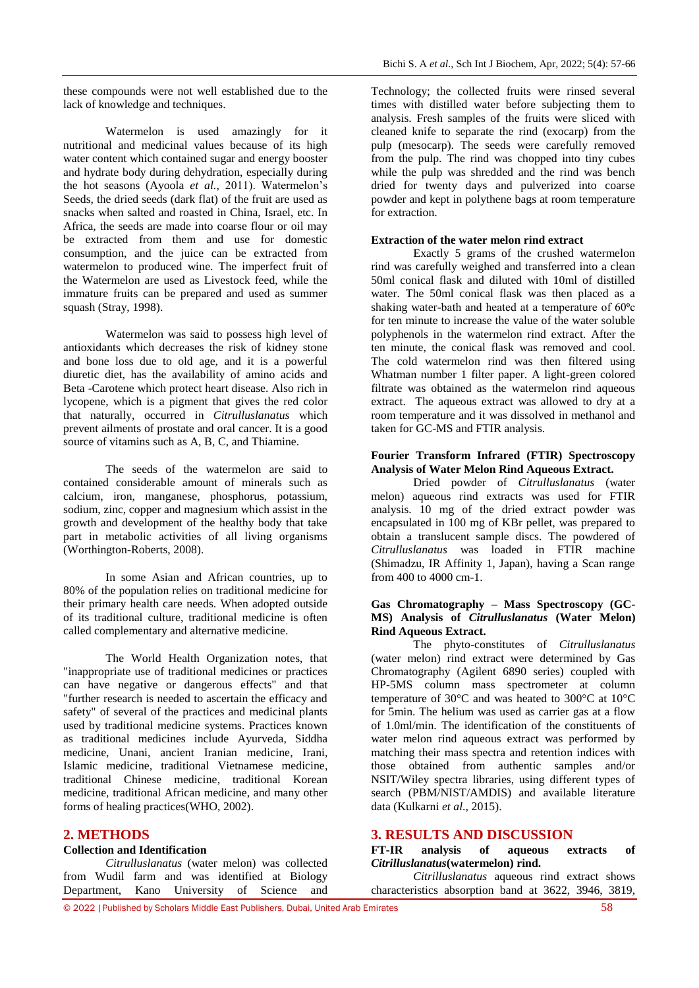these compounds were not well established due to the lack of knowledge and techniques.

Watermelon is used amazingly for it nutritional and medicinal values because of its high water content which contained sugar and energy booster and hydrate body during dehydration, especially during the hot seasons (Ayoola *et al.,* 2011). Watermelon's Seeds, the dried seeds (dark flat) of the fruit are used as snacks when salted and roasted in China, Israel, etc. In Africa, the seeds are made into coarse flour or oil may be extracted from them and use for domestic consumption, and the juice can be extracted from watermelon to produced wine. The imperfect fruit of the Watermelon are used as Livestock feed, while the immature fruits can be prepared and used as summer squash (Stray, 1998).

Watermelon was said to possess high level of antioxidants which decreases the risk of kidney stone and bone loss due to old age, and it is a powerful diuretic diet, has the availability of amino acids and Beta -Carotene which protect heart disease. Also rich in lycopene, which is a pigment that gives the red color that naturally, occurred in *Citrulluslanatus* which prevent ailments of prostate and oral cancer. It is a good source of vitamins such as A, B, C, and Thiamine.

The seeds of the watermelon are said to contained considerable amount of minerals such as calcium, iron, manganese, phosphorus, potassium, sodium, zinc, copper and magnesium which assist in the growth and development of the healthy body that take part in metabolic activities of all living organisms (Worthington-Roberts, 2008).

In some [Asian](http://en.wikipedia.org/wiki/Asia) and African countries, up to 80% of the population relies on traditional medicine for their [primary health care](http://en.wikipedia.org/wiki/Primary_health_care) needs. When adopted outside of its traditional culture, traditional medicine is often called complementary and alternative medicine.

The World Health Organization notes, that "inappropriate use of traditional medicines or practices can have negative or dangerous effects" and that "further research is needed to ascertain the efficacy and safety" of several of the practices and medicinal plants used by traditional medicine systems. Practices known as traditional medicines include [Ayurveda,](http://en.wikipedia.org/wiki/Ayurveda) [Siddha](http://en.wikipedia.org/wiki/Siddha_medicine)  [medicine,](http://en.wikipedia.org/wiki/Siddha_medicine) [Unani,](http://en.wikipedia.org/wiki/Unani) [ancient Iranian medicine,](http://en.wikipedia.org/wiki/Ancient_Iranian_Medicine) [Irani,](http://en.wikipedia.org/wiki/Irani_Traditional_medicine) [Islamic medicine,](http://en.wikipedia.org/wiki/Medicine_in_medieval_Islam) [traditional Vietnamese medicine,](http://en.wikipedia.org/w/index.php?title=Traditional_Vietnamese_medicine&action=edit&redlink=1) [traditional Chinese medicine,](http://en.wikipedia.org/wiki/Traditional_Chinese_medicine) [traditional Korean](http://en.wikipedia.org/wiki/Traditional_Korean_medicine)  [medicine,](http://en.wikipedia.org/wiki/Traditional_Korean_medicine) [traditional African medicine,](http://en.wikipedia.org/wiki/Traditional_African_medicine) and many other forms of healing practices(WHO, 2002).

# **2. METHODS**

#### **Collection and Identification**

*Citrulluslanatus* (water melon) was collected from Wudil farm and was identified at Biology Department, Kano University of Science and

Technology; the collected fruits were rinsed several times with distilled water before subjecting them to analysis. Fresh samples of the fruits were sliced with cleaned knife to separate the rind (exocarp) from the pulp (mesocarp). The seeds were carefully removed from the pulp. The rind was chopped into tiny cubes while the pulp was shredded and the rind was bench dried for twenty days and pulverized into coarse powder and kept in polythene bags at room temperature for extraction.

#### **Extraction of the water melon rind extract**

Exactly 5 grams of the crushed watermelon rind was carefully weighed and transferred into a clean 50ml conical flask and diluted with 10ml of distilled water. The 50ml conical flask was then placed as a shaking water-bath and heated at a temperature of  $60^{\circ}c$ for ten minute to increase the value of the water soluble polyphenols in the watermelon rind extract. After the ten minute, the conical flask was removed and cool. The cold watermelon rind was then filtered using Whatman number 1 filter paper. A light-green colored filtrate was obtained as the watermelon rind aqueous extract. The aqueous extract was allowed to dry at a room temperature and it was dissolved in methanol and taken for GC-MS and FTIR analysis.

#### **Fourier Transform Infrared (FTIR) Spectroscopy Analysis of Water Melon Rind Aqueous Extract.**

Dried powder of *Citrulluslanatus* (water melon) aqueous rind extracts was used for FTIR analysis. 10 mg of the dried extract powder was encapsulated in 100 mg of KBr pellet, was prepared to obtain a translucent sample discs. The powdered of *Citrulluslanatus* was loaded in FTIR machine (Shimadzu, IR Affinity 1, Japan), having a Scan range from 400 to 4000 cm-1.

#### **Gas Chromatography – Mass Spectroscopy (GC-MS) Analysis of** *Citrulluslanatus* **(Water Melon) Rind Aqueous Extract.**

The phyto-constitutes of *Citrulluslanatus* (water melon) rind extract were determined by Gas Chromatography (Agilent 6890 series) coupled with HP-5MS column mass spectrometer at column temperature of 30°C and was heated to 300°C at 10°C for 5min. The helium was used as carrier gas at a flow of 1.0ml/min. The identification of the constituents of water melon rind aqueous extract was performed by matching their mass spectra and retention indices with those obtained from authentic samples and/or NSIT/Wiley spectra libraries, using different types of search (PBM/NIST/AMDIS) and available literature data (Kulkarni *et al*., 2015).

#### **3. RESULTS AND DISCUSSION**

#### **FT-IR analysis of aqueous extracts of**  *Citrilluslanatus***(watermelon) rind.**

*Citrilluslanatus* aqueous rind extract shows characteristics absorption band at 3622, 3946, 3819,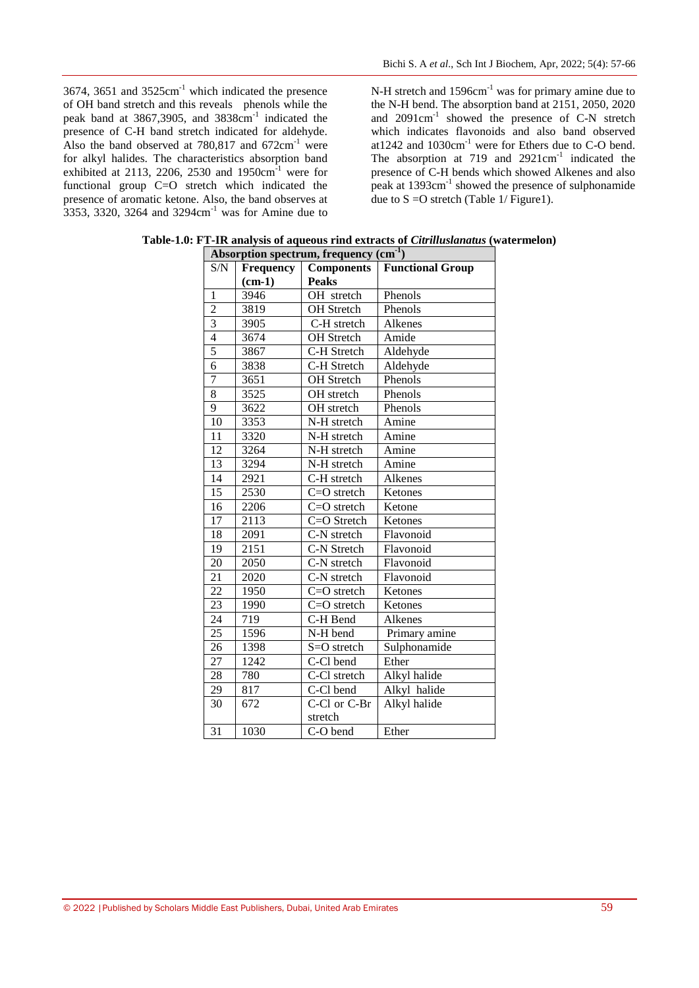3674, 3651 and 3525cm-1 which indicated the presence of OH band stretch and this reveals phenols while the peak band at 3867,3905, and 3838cm<sup>-1</sup> indicated the presence of C-H band stretch indicated for aldehyde. Also the band observed at  $780,817$  and  $672 \text{cm}^{-1}$  were for alkyl halides. The characteristics absorption band exhibited at 2113, 2206, 2530 and  $1950 \text{cm}^{-1}$  were for functional group C=O stretch which indicated the presence of aromatic ketone. Also, the band observes at 3353, 3320, 3264 and 3294cm-1 was for Amine due to

N-H stretch and 1596cm<sup>-1</sup> was for primary amine due to the N-H bend. The absorption band at 2151, 2050, 2020 and 2091cm<sup>-1</sup> showed the presence of C-N stretch which indicates flavonoids and also band observed at1242 and 1030cm-1 were for Ethers due to C-O bend. The absorption at 719 and  $2921 \text{cm}^{-1}$  indicated the presence of C-H bends which showed Alkenes and also peak at 1393cm<sup>-1</sup> showed the presence of sulphonamide due to  $S = O$  stretch (Table 1/ Figure1).

| Absorption spectrum, frequency (cm <sup>-1</sup> ) |                  |                                              |               |  |  |
|----------------------------------------------------|------------------|----------------------------------------------|---------------|--|--|
| S/N                                                | <b>Frequency</b> | <b>Components</b><br><b>Functional Group</b> |               |  |  |
|                                                    | $(cm-1)$         | <b>Peaks</b>                                 |               |  |  |
| $\mathbf{1}$                                       | 3946             | OH stretch                                   | Phenols       |  |  |
| $\overline{2}$                                     | 3819             | OH Stretch                                   | Phenols       |  |  |
| $\overline{3}$                                     | 3905             | C-H stretch                                  | Alkenes       |  |  |
| $\overline{4}$                                     | 3674             | OH Stretch                                   | Amide         |  |  |
| 5                                                  | 3867             | C-H Stretch                                  | Aldehyde      |  |  |
| $\overline{6}$                                     | 3838             | C-H Stretch                                  | Aldehyde      |  |  |
| 7                                                  | 3651             | <b>OH</b> Stretch                            | Phenols       |  |  |
| 8                                                  | 3525             | OH stretch                                   | Phenols       |  |  |
| $\overline{9}$                                     | 3622             | OH stretch                                   | Phenols       |  |  |
| 10                                                 | 3353             | N-H stretch                                  | Amine         |  |  |
| 11                                                 | 3320             | N-H stretch                                  | Amine         |  |  |
| 12                                                 | 3264             | N-H stretch                                  | Amine         |  |  |
| 13                                                 | 3294             | N-H stretch                                  | Amine         |  |  |
| 14                                                 | 2921             | C-H stretch                                  | Alkenes       |  |  |
| $\overline{15}$                                    | 2530             | $C = O$ stretch                              | Ketones       |  |  |
| $\overline{16}$                                    | 2206             | C=O stretch                                  | Ketone        |  |  |
| 17                                                 | 2113             | C=O Stretch                                  | Ketones       |  |  |
| 18                                                 | 2091             | C-N stretch                                  | Flavonoid     |  |  |
| 19                                                 | 2151             | C-N Stretch                                  | Flavonoid     |  |  |
| 20                                                 | 2050             | C-N stretch                                  | Flavonoid     |  |  |
| 21                                                 | 2020             | C-N stretch                                  | Flavonoid     |  |  |
| $\overline{22}$                                    | 1950             | C=O stretch                                  | Ketones       |  |  |
| 23                                                 | 1990             | C=O stretch                                  | Ketones       |  |  |
| 24                                                 | 719              | C-H Bend                                     | Alkenes       |  |  |
| 25                                                 | 1596             | N-H bend                                     | Primary amine |  |  |
| 26                                                 | 1398             | S=O stretch                                  | Sulphonamide  |  |  |
| 27                                                 | 1242             | C-Cl bend                                    | Ether         |  |  |
| 28                                                 | 780              | C-Cl stretch                                 | Alkyl halide  |  |  |
| 29                                                 | 817              | C-Cl bend                                    | Alkyl halide  |  |  |
| 30                                                 | 672              | C-Cl or C-Br                                 | Alkyl halide  |  |  |
|                                                    |                  | stretch                                      |               |  |  |
| $\overline{31}$                                    | 1030             | C-O bend                                     | Ether         |  |  |

**Table-1.0: FT-IR analysis of aqueous rind extracts of** *Citrilluslanatus* **(watermelon)**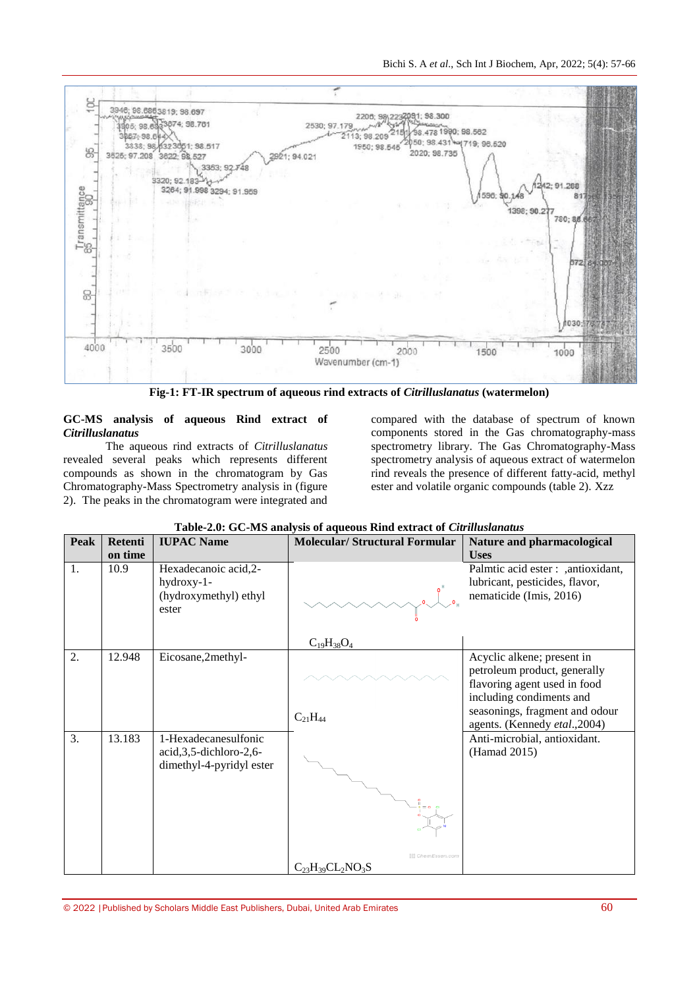

**Fig-1: FT-IR spectrum of aqueous rind extracts of** *Citrilluslanatus* **(watermelon)**

#### **GC-MS analysis of aqueous Rind extract of**  *Citrilluslanatus*

The aqueous rind extracts of *Citrilluslanatus* revealed several peaks which represents different compounds as shown in the chromatogram by Gas Chromatography-Mass Spectrometry analysis in (figure 2). The peaks in the chromatogram were integrated and

compared with the database of spectrum of known components stored in the Gas chromatography-mass spectrometry library. The Gas Chromatography-Mass spectrometry analysis of aqueous extract of watermelon rind reveals the presence of different fatty-acid, methyl ester and volatile organic compounds (table 2). Xzz

| Peak | <b>Retenti</b> | <b>IUPAC Name</b>                                                             | <b>Molecular/Structural Formular</b> | Nature and pharmacological                                                                                             |
|------|----------------|-------------------------------------------------------------------------------|--------------------------------------|------------------------------------------------------------------------------------------------------------------------|
|      | on time        |                                                                               |                                      | <b>Uses</b>                                                                                                            |
| 1.   | 10.9           | Hexadecanoic acid, 2-<br>hydroxy-1-<br>(hydroxymethyl) ethyl<br>ester         |                                      | Palmtic acid ester : , antioxidant,<br>lubricant, pesticides, flavor,<br>nematicide (Imis, 2016)                       |
|      |                |                                                                               | $C_{19}H_{38}O_4$                    |                                                                                                                        |
| 2.   | 12.948         | Eicosane,2methyl-                                                             |                                      | Acyclic alkene; present in<br>petroleum product, generally<br>flavoring agent used in food<br>including condiments and |
|      |                |                                                                               | $C_{21}H_{44}$                       | seasonings, fragment and odour<br>agents. (Kennedy etal., 2004)                                                        |
| 3.   | 13.183         | 1-Hexadecanesulfonic<br>acid, 3, 5-dichloro-2, 6-<br>dimethyl-4-pyridyl ester | <b>E ChemEssen.com</b>               | Anti-microbial, antioxidant.<br>(Hamad 2015)                                                                           |
|      |                |                                                                               | $C_{23}H_{39}CL_2NO_3S$              |                                                                                                                        |

| Table-2.0: GC-MS analysis of aqueous Rind extract of Citrilluslanatus |  |  |  |  |
|-----------------------------------------------------------------------|--|--|--|--|
|-----------------------------------------------------------------------|--|--|--|--|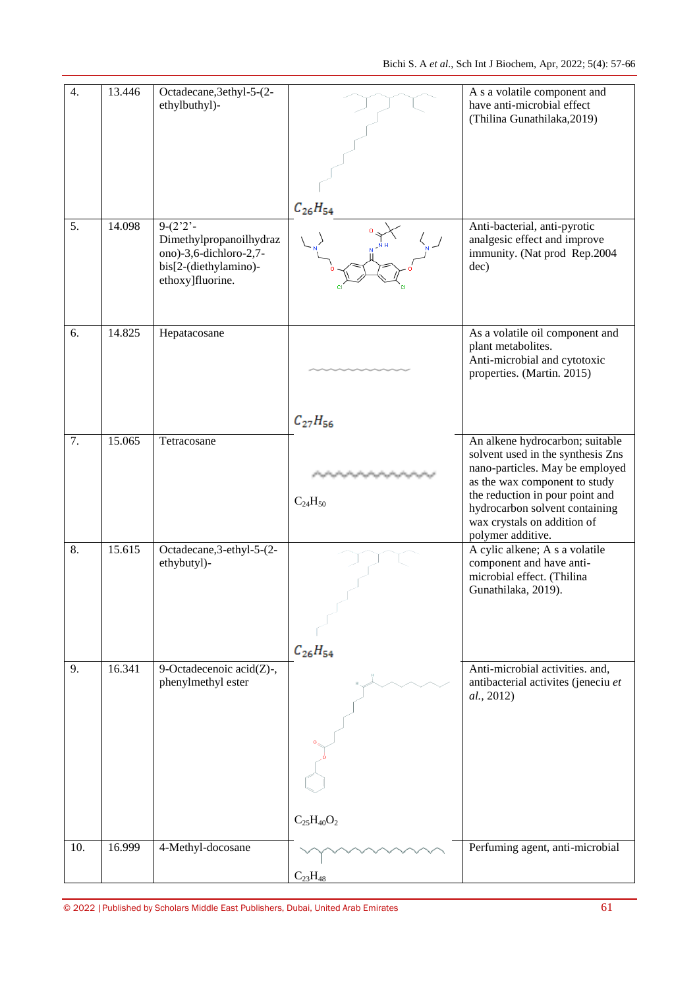| 4.  | 13.446 | Octadecane, 3ethyl-5-(2-<br>ethylbuthyl)-                                                                                    |                   | A s a volatile component and<br>have anti-microbial effect<br>(Thilina Gunathilaka, 2019)                                                                                                                                                                         |
|-----|--------|------------------------------------------------------------------------------------------------------------------------------|-------------------|-------------------------------------------------------------------------------------------------------------------------------------------------------------------------------------------------------------------------------------------------------------------|
| 5.  | 14.098 | $9-(2^{\prime}2^{\prime})$<br>Dimethylpropanoilhydraz<br>ono)-3,6-dichloro-2,7-<br>bis[2-(diethylamino)-<br>ethoxy]fluorine. | $C_{26}H_{54}$    | Anti-bacterial, anti-pyrotic<br>analgesic effect and improve<br>immunity. (Nat prod Rep.2004<br>dec)                                                                                                                                                              |
| 6.  | 14.825 | Hepatacosane                                                                                                                 | $C_{27}H_{56}$    | As a volatile oil component and<br>plant metabolites.<br>Anti-microbial and cytotoxic<br>properties. (Martin. 2015)                                                                                                                                               |
| 7.  | 15.065 | Tetracosane                                                                                                                  | $C_{24}H_{50}$    | An alkene hydrocarbon; suitable<br>solvent used in the synthesis Zns<br>nano-particles. May be employed<br>as the wax component to study<br>the reduction in pour point and<br>hydrocarbon solvent containing<br>wax crystals on addition of<br>polymer additive. |
| 8.  | 15.615 | Octadecane, 3-ethyl-5-(2-<br>ethybutyl)-                                                                                     | $C_{26}H_{54}$    | A cylic alkene; A s a volatile<br>component and have anti-<br>microbial effect. (Thilina<br>Gunathilaka, 2019).                                                                                                                                                   |
| 9.  | 16.341 | 9-Octadecenoic acid(Z)-,<br>phenylmethyl ester                                                                               | $C_{25}H_{40}O_2$ | Anti-microbial activities. and,<br>antibacterial activites (jeneciu et<br>al., 2012)                                                                                                                                                                              |
| 10. | 16.999 | 4-Methyl-docosane                                                                                                            | $C_{23}H_{48}$    | Perfuming agent, anti-microbial                                                                                                                                                                                                                                   |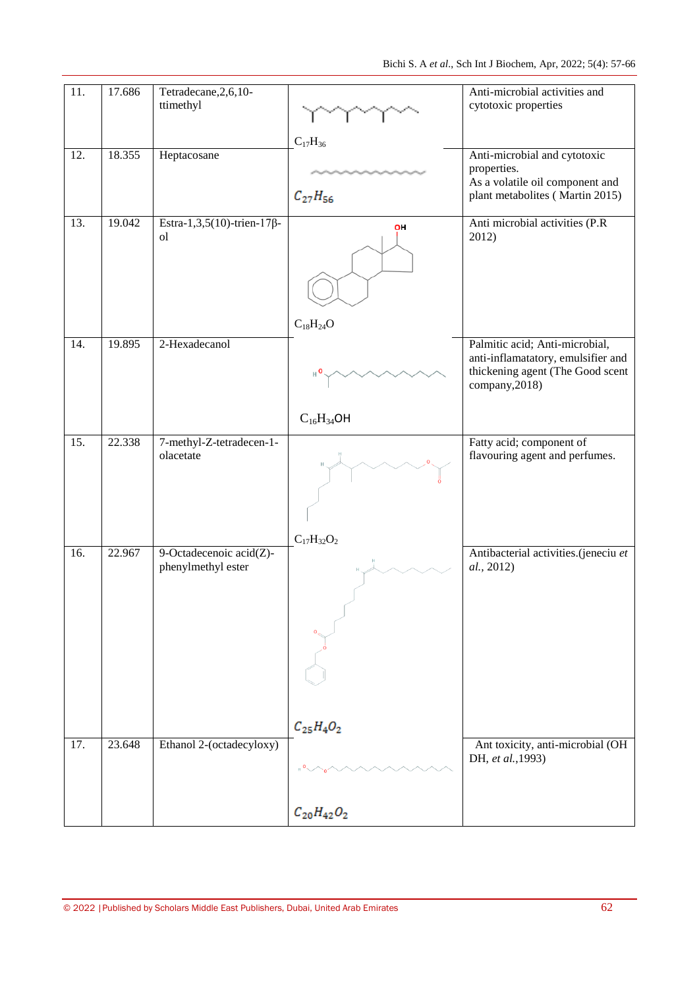| 11. | 17.686 | Tetradecane, 2, 6, 10-<br>ttimethyl                |                                  | Anti-microbial activities and<br>cytotoxic properties                                                                      |
|-----|--------|----------------------------------------------------|----------------------------------|----------------------------------------------------------------------------------------------------------------------------|
| 12. | 18.355 | Heptacosane                                        | $C_{17}H_{36}$<br>$C_{27}H_{56}$ | Anti-microbial and cytotoxic<br>properties.<br>As a volatile oil component and<br>plant metabolites (Martin 2015)          |
| 13. | 19.042 | Estra-1,3,5(10)-trien-17 $\beta$ -<br><sub>o</sub> | OH<br>$C_{18}H_{24}O$            | Anti microbial activities (P.R)<br>2012)                                                                                   |
| 14. | 19.895 | 2-Hexadecanol                                      | $C_{16}H_{34}OH$                 | Palmitic acid; Anti-microbial,<br>anti-inflamatatory, emulsifier and<br>thickening agent (The Good scent<br>company, 2018) |
| 15. | 22.338 | 7-methyl-Z-tetradecen-1-<br>olacetate              | $C_{17}H_{32}O_2$                | Fatty acid; component of<br>flavouring agent and perfumes.                                                                 |
| 16. | 22.967 | 9-Octadecenoic acid(Z)-<br>phenylmethyl ester      | $C_{25}H_{4}O_{2}$               | Antibacterial activities.(jeneciu et<br>al., 2012)                                                                         |
| 17. | 23.648 | Ethanol 2-(octadecyloxy)                           | $C_{20}H_{42}O_2$                | Ant toxicity, anti-microbial (OH<br>DH, et al., 1993)                                                                      |
|     |        |                                                    |                                  |                                                                                                                            |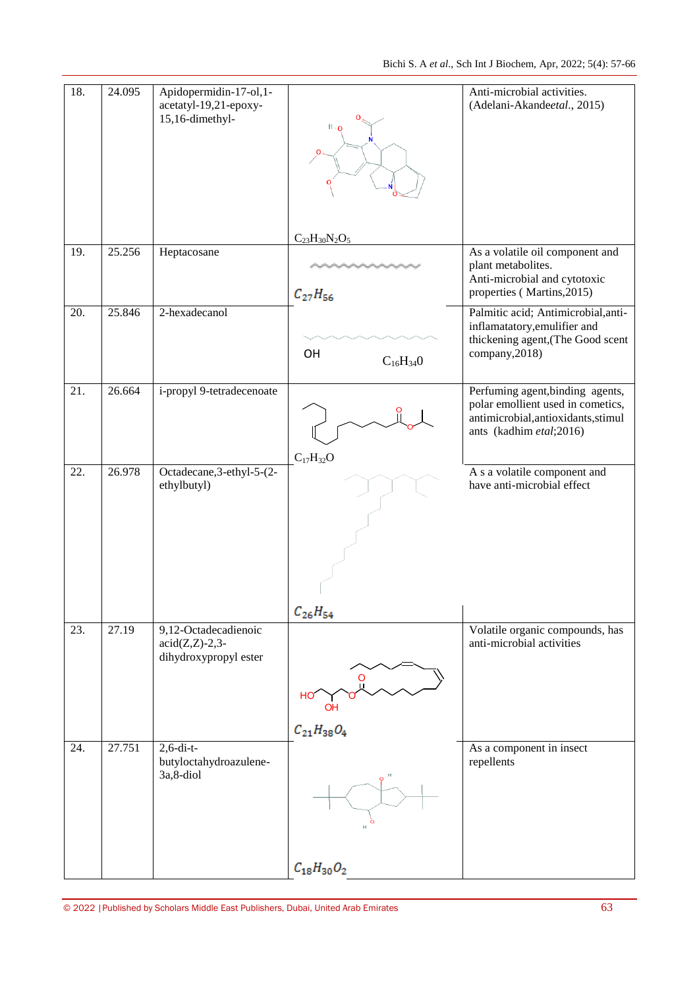| 18. | 24.095 | Apidopermidin-17-ol,1-<br>acetatyl-19,21-epoxy-<br>$15,16$ -dimethyl-                      |                                                                                         | Anti-microbial activities.<br>(Adelani-Akandeetal., 2015)                                                                               |
|-----|--------|--------------------------------------------------------------------------------------------|-----------------------------------------------------------------------------------------|-----------------------------------------------------------------------------------------------------------------------------------------|
|     |        |                                                                                            | $C_{23}H_{30}N_2O_5$                                                                    |                                                                                                                                         |
| 19. | 25.256 | Heptacosane                                                                                | المرباش والرابع المراسي والمرباش والمرباش والمرباش والمرباشي والمرباش<br>$C_{27}H_{56}$ | As a volatile oil component and<br>plant metabolites.<br>Anti-microbial and cytotoxic<br>properties (Martins, 2015)                     |
| 20. | 25.846 | 2-hexadecanol                                                                              | OH<br>$C_{16}H_{34}0$                                                                   | Palmitic acid; Antimicrobial, anti-<br>inflamatatory, emulifier and<br>thickening agent, (The Good scent<br>company, 2018)              |
| 21. | 26.664 | i-propyl 9-tetradecenoate                                                                  |                                                                                         | Perfuming agent, binding agents,<br>polar emollient used in cometics,<br>antimicrobial, antioxidants, stimul<br>ants (kadhim etal;2016) |
| 22. | 26.978 | Octadecane, 3-ethyl-5-(2-<br>ethylbutyl)                                                   | $C_{17}H_{32}O$                                                                         | A s a volatile component and<br>have anti-microbial effect                                                                              |
| 23. | 27.19  | 9,12-Octadecadienoic<br>$\text{acid}(Z,\!Z)\text{-}2,\!3\text{-}$<br>dihydroxypropyl ester | $C_{26}H_{54}$<br><b>OH</b><br>$C_{21}H_{38}O_4$                                        | Volatile organic compounds, has<br>anti-microbial activities                                                                            |
| 24. | 27.751 | $2, 6$ -di-t-<br>butyloctahydroazulene-<br>3a, 8-diol                                      | $C_{18}H_{30}O_2$                                                                       | As a component in insect<br>repellents                                                                                                  |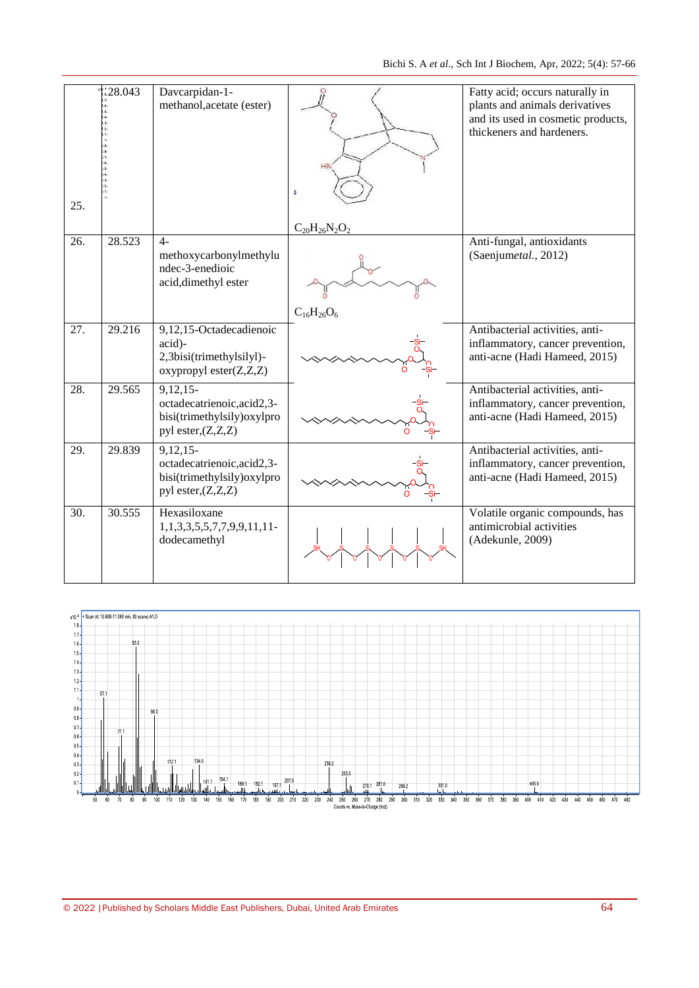| 25.               | 28.043 | Davcarpidan-1-<br>methanol, acetate (ester)                                                    |                      | Fatty acid; occurs naturally in<br>plants and animals derivatives<br>and its used in cosmetic products,<br>thickeners and hardeners. |
|-------------------|--------|------------------------------------------------------------------------------------------------|----------------------|--------------------------------------------------------------------------------------------------------------------------------------|
|                   |        |                                                                                                | $C_{20}H_{26}N_2O_2$ |                                                                                                                                      |
| 26.               | 28.523 | $4-$<br>methoxycarbonylmethylu<br>ndec-3-enedioic<br>acid, dimethyl ester                      |                      | Anti-fungal, antioxidants<br>(Saenjumetal., 2012)                                                                                    |
|                   |        |                                                                                                | $C_{16}H_{26}O_6$    |                                                                                                                                      |
| 27.               | 29.216 | 9,12,15-Octadecadienoic<br>acid)-<br>2,3bisi(trimethylsilyl)-<br>oxypropyl ester(Z,Z,Z)        |                      | Antibacterial activities, anti-<br>inflammatory, cancer prevention,<br>anti-acne (Hadi Hameed, 2015)                                 |
| 28.               | 29.565 | $9,12,15-$<br>octadecatrienoic, acid2,3-<br>bisi(trimethylsily)oxylpro<br>pyl ester, (Z, Z, Z) | -Si-                 | Antibacterial activities, anti-<br>inflammatory, cancer prevention,<br>anti-acne (Hadi Hameed, 2015)                                 |
| 29.               | 29.839 | 9,12,15<br>octadecatrienoic, acid2,3-<br>bisi(trimethylsily)oxylpro<br>pyl ester, (Z, Z, Z)    | -Si-                 | Antibacterial activities, anti-<br>inflammatory, cancer prevention,<br>anti-acne (Hadi Hameed, 2015)                                 |
| $\overline{30}$ . | 30.555 | Hexasiloxane<br>1, 1, 3, 3, 5, 5, 7, 7, 9, 9, 11, 11-<br>dodecamethyl                          |                      | Volatile organic compounds, has<br>antimicrobial activities<br>(Adekunle, 2009)                                                      |
|                   |        |                                                                                                |                      |                                                                                                                                      |

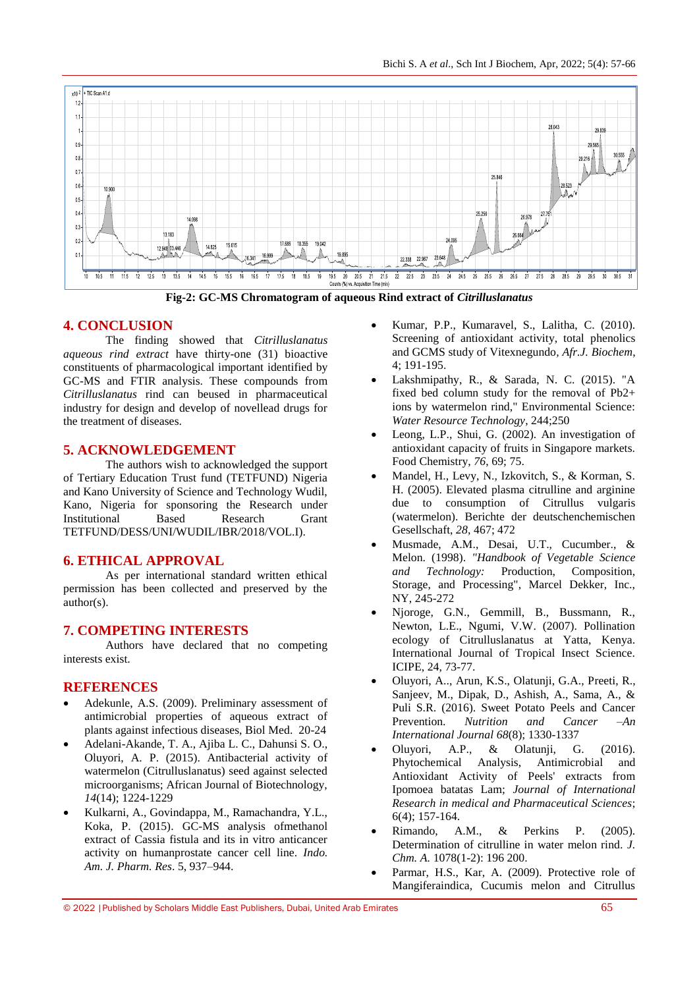

**Fig-2: GC-MS Chromatogram of aqueous Rind extract of** *Citrilluslanatus*

# **4. CONCLUSION**

The finding showed that *Citrilluslanatus aqueous rind extract* have thirty-one (31) bioactive constituents of pharmacological important identified by GC-MS and FTIR analysis. These compounds from *Citrilluslanatus* rind can beused in pharmaceutical industry for design and develop of novellead drugs for the treatment of diseases.

# **5. ACKNOWLEDGEMENT**

The authors wish to acknowledged the support of Tertiary Education Trust fund (TETFUND) Nigeria and Kano University of Science and Technology Wudil, Kano, Nigeria for sponsoring the Research under Institutional Based Research Grant TETFUND/DESS/UNI/WUDIL/IBR/2018/VOL.I).

# **6. ETHICAL APPROVAL**

As per international standard written ethical permission has been collected and preserved by the author(s).

# **7. COMPETING INTERESTS**

Authors have declared that no competing interests exist.

#### **REFERENCES**

- Adekunle, A.S. (2009). Preliminary assessment of antimicrobial properties of aqueous extract of plants against infectious diseases, Biol Med. 20-24
- Adelani-Akande, T. A., Ajiba L. C., Dahunsi S. O., Oluyori, A. P. (2015). Antibacterial activity of watermelon (Citrulluslanatus) seed against selected microorganisms; African Journal of Biotechnology, *14*(14); 1224-1229
- Kulkarni, A., Govindappa, M., Ramachandra, Y.L., Koka, P. (2015). GC-MS analysis ofmethanol extract of Cassia fistula and its in vitro anticancer activity on humanprostate cancer cell line. *Indo. Am. J. Pharm. Res*. 5, 937–944.
- Kumar, P.P., Kumaravel, S., Lalitha, C. (2010). Screening of antioxidant activity, total phenolics and GCMS study of Vitexnegundo*, Afr.J. Biochem*, 4; 191-195.
- Lakshmipathy, R., & Sarada, N. C. (2015). "A fixed bed column study for the removal of Pb2+ ions by watermelon rind," Environmental Science: *Water Resource Technology*, 244;250
- Leong, L.P., Shui, G. (2002). An investigation of antioxidant capacity of fruits in Singapore markets. Food Chemistry, *76*, 69; 75.
- Mandel, H., Levy, N., Izkovitch, S., & Korman, S. H. (2005). Elevated plasma citrulline and arginine due to consumption of Citrullus vulgaris (watermelon). Berichte der deutschenchemischen Gesellschaft, *28,* 467; 472
- Musmade, A.M., Desai, U.T., Cucumber., & Melon. (1998). *"Handbook of Vegetable Science and Technology:* Production, Composition, Storage, and Processing", Marcel Dekker, Inc., NY, 245-272
- Njoroge, G.N., Gemmill, B., Bussmann, R., Newton, L.E., Ngumi, V.W. (2007). Pollination ecology of Citrulluslanatus at Yatta, Kenya. International Journal of Tropical Insect Science. ICIPE, 24, 73-77.
- Oluyori, A.., Arun, K.S., Olatunji, G.A., Preeti, R., Sanjeev, M., Dipak, D., Ashish, A., Sama, A., & Puli S.R. (2016). Sweet Potato Peels and Cancer Prevention. *Nutrition and Cancer –An International Journal 68*(8); 1330-1337
- Oluyori, A.P., & Olatunji, G. (2016). Phytochemical Analysis, Antimicrobial and Antioxidant Activity of Peels' extracts from Ipomoea batatas Lam; *Journal of International Research in medical and Pharmaceutical Sciences*; 6(4); 157-164.
- Rimando, A.M., & Perkins P. (2005). Determination of citrulline in water melon rind*. J. Chm. A.* 1078(1-2): 196 200.
- Parmar, H.S., Kar, A. (2009). Protective role of Mangiferaindica, Cucumis melon and Citrullus